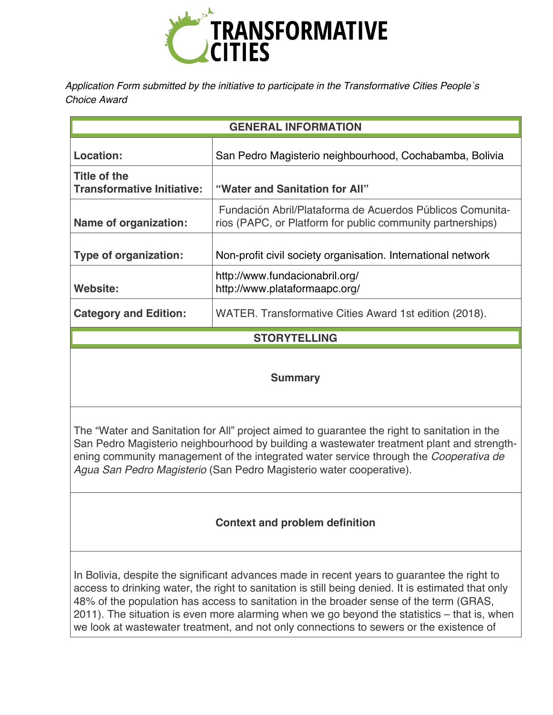

*Application Form submitted by the initiative to participate in the Transformative Cities People`s Choice Award* 

| <b>GENERAL INFORMATION</b>                        |                                                                                                                         |
|---------------------------------------------------|-------------------------------------------------------------------------------------------------------------------------|
| Location:                                         | San Pedro Magisterio neighbourhood, Cochabamba, Bolivia                                                                 |
| Title of the<br><b>Transformative Initiative:</b> | "Water and Sanitation for All"                                                                                          |
| <b>Name of organization:</b>                      | Fundación Abril/Plataforma de Acuerdos Públicos Comunita-<br>rios (PAPC, or Platform for public community partnerships) |
| Type of organization:                             | Non-profit civil society organisation. International network                                                            |
| Website:                                          | http://www.fundacionabril.org/<br>http://www.plataformaapc.org/                                                         |
| <b>Category and Edition:</b>                      | WATER. Transformative Cities Award 1st edition (2018).                                                                  |
| <b>STORYTELLING</b>                               |                                                                                                                         |
|                                                   |                                                                                                                         |

### **Summary**

The "Water and Sanitation for All" project aimed to guarantee the right to sanitation in the San Pedro Magisterio neighbourhood by building a wastewater treatment plant and strengthening community management of the integrated water service through the *Cooperativa de Agua San Pedro Magisterio* (San Pedro Magisterio water cooperative).

# **Context and problem definition**

In Bolivia, despite the significant advances made in recent years to guarantee the right to access to drinking water, the right to sanitation is still being denied. It is estimated that only 48% of the population has access to sanitation in the broader sense of the term (GRAS, 2011). The situation is even more alarming when we go beyond the statistics – that is, when we look at wastewater treatment, and not only connections to sewers or the existence of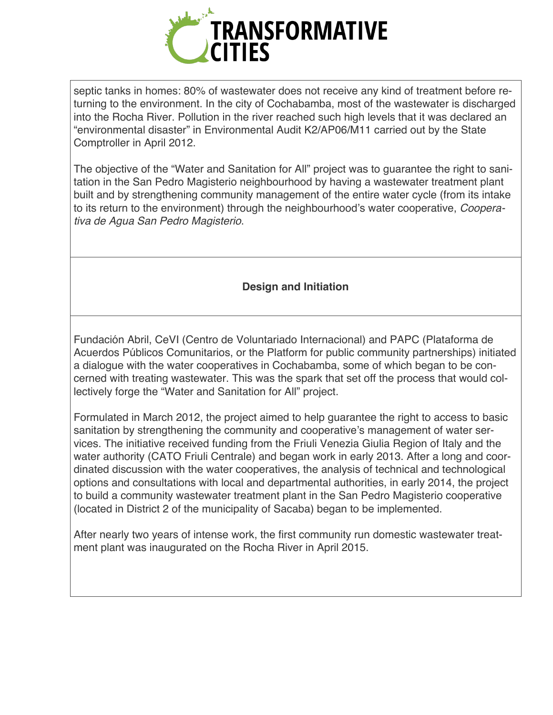

septic tanks in homes: 80% of wastewater does not receive any kind of treatment before returning to the environment. In the city of Cochabamba, most of the wastewater is discharged into the Rocha River. Pollution in the river reached such high levels that it was declared an "environmental disaster" in Environmental Audit K2/AP06/M11 carried out by the State Comptroller in April 2012.

The objective of the "Water and Sanitation for All" project was to guarantee the right to sanitation in the San Pedro Magisterio neighbourhood by having a wastewater treatment plant built and by strengthening community management of the entire water cycle (from its intake to its return to the environment) through the neighbourhood's water cooperative, *Cooperativa de Agua San Pedro Magisterio*.

## **Design and Initiation**

Fundación Abril, CeVI (Centro de Voluntariado Internacional) and PAPC (Plataforma de Acuerdos Públicos Comunitarios, or the Platform for public community partnerships) initiated a dialogue with the water cooperatives in Cochabamba, some of which began to be concerned with treating wastewater. This was the spark that set off the process that would collectively forge the "Water and Sanitation for All" project.

Formulated in March 2012, the project aimed to help guarantee the right to access to basic sanitation by strengthening the community and cooperative's management of water services. The initiative received funding from the Friuli Venezia Giulia Region of Italy and the water authority (CATO Friuli Centrale) and began work in early 2013. After a long and coordinated discussion with the water cooperatives, the analysis of technical and technological options and consultations with local and departmental authorities, in early 2014, the project to build a community wastewater treatment plant in the San Pedro Magisterio cooperative (located in District 2 of the municipality of Sacaba) began to be implemented.

After nearly two years of intense work, the first community run domestic wastewater treatment plant was inaugurated on the Rocha River in April 2015.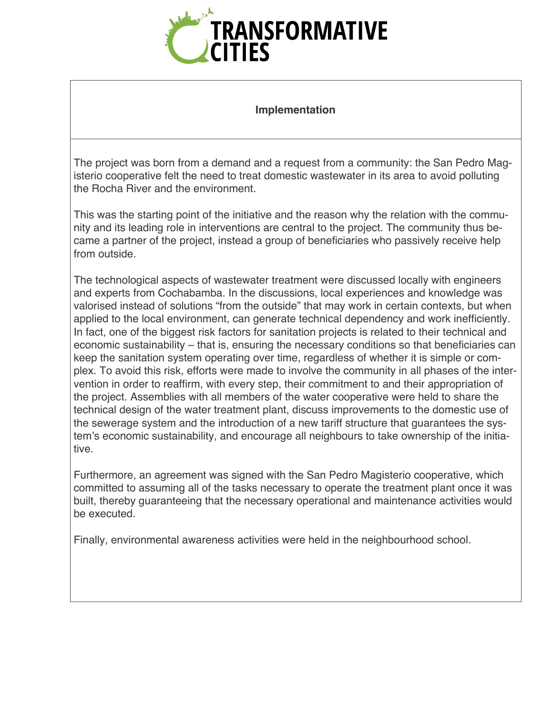

#### **Implementation**

The project was born from a demand and a request from a community: the San Pedro Magisterio cooperative felt the need to treat domestic wastewater in its area to avoid polluting the Rocha River and the environment.

This was the starting point of the initiative and the reason why the relation with the community and its leading role in interventions are central to the project. The community thus became a partner of the project, instead a group of beneficiaries who passively receive help from outside.

The technological aspects of wastewater treatment were discussed locally with engineers and experts from Cochabamba. In the discussions, local experiences and knowledge was valorised instead of solutions "from the outside" that may work in certain contexts, but when applied to the local environment, can generate technical dependency and work inefficiently. In fact, one of the biggest risk factors for sanitation projects is related to their technical and economic sustainability – that is, ensuring the necessary conditions so that beneficiaries can keep the sanitation system operating over time, regardless of whether it is simple or complex. To avoid this risk, efforts were made to involve the community in all phases of the intervention in order to reaffirm, with every step, their commitment to and their appropriation of the project. Assemblies with all members of the water cooperative were held to share the technical design of the water treatment plant, discuss improvements to the domestic use of the sewerage system and the introduction of a new tariff structure that guarantees the system's economic sustainability, and encourage all neighbours to take ownership of the initiative.

Furthermore, an agreement was signed with the San Pedro Magisterio cooperative, which committed to assuming all of the tasks necessary to operate the treatment plant once it was built, thereby guaranteeing that the necessary operational and maintenance activities would be executed.

Finally, environmental awareness activities were held in the neighbourhood school.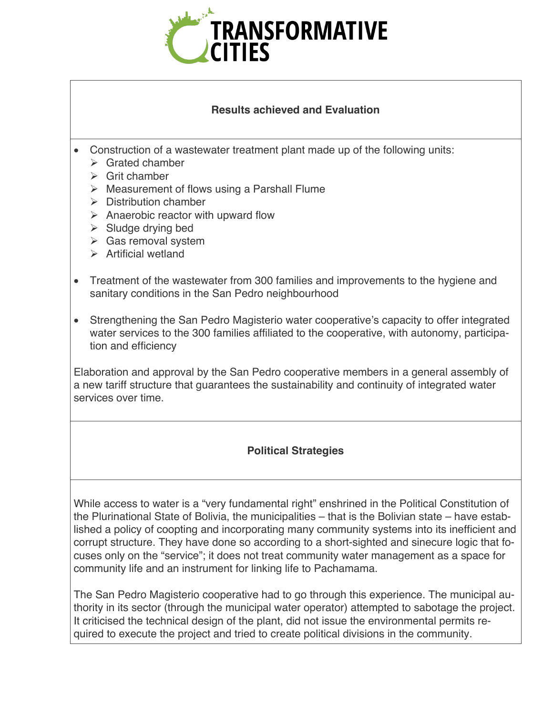

### **Results achieved and Evaluation**

- Construction of a wastewater treatment plant made up of the following units:
	- $\triangleright$  Grated chamber
	- $\triangleright$  Grit chamber
	- $\triangleright$  Measurement of flows using a Parshall Flume
	- $\triangleright$  Distribution chamber
	- $\triangleright$  Anaerobic reactor with upward flow
	- $\triangleright$  Sludge drying bed
	- $\triangleright$  Gas removal system
	- $\triangleright$  Artificial wetland
- Treatment of the wastewater from 300 families and improvements to the hygiene and sanitary conditions in the San Pedro neighbourhood
- Strengthening the San Pedro Magisterio water cooperative's capacity to offer integrated water services to the 300 families affiliated to the cooperative, with autonomy, participation and efficiency

Elaboration and approval by the San Pedro cooperative members in a general assembly of a new tariff structure that guarantees the sustainability and continuity of integrated water services over time.

### **Political Strategies**

While access to water is a "very fundamental right" enshrined in the Political Constitution of the Plurinational State of Bolivia, the municipalities – that is the Bolivian state – have established a policy of coopting and incorporating many community systems into its inefficient and corrupt structure. They have done so according to a short-sighted and sinecure logic that focuses only on the "service"; it does not treat community water management as a space for community life and an instrument for linking life to Pachamama.

The San Pedro Magisterio cooperative had to go through this experience. The municipal authority in its sector (through the municipal water operator) attempted to sabotage the project. It criticised the technical design of the plant, did not issue the environmental permits required to execute the project and tried to create political divisions in the community.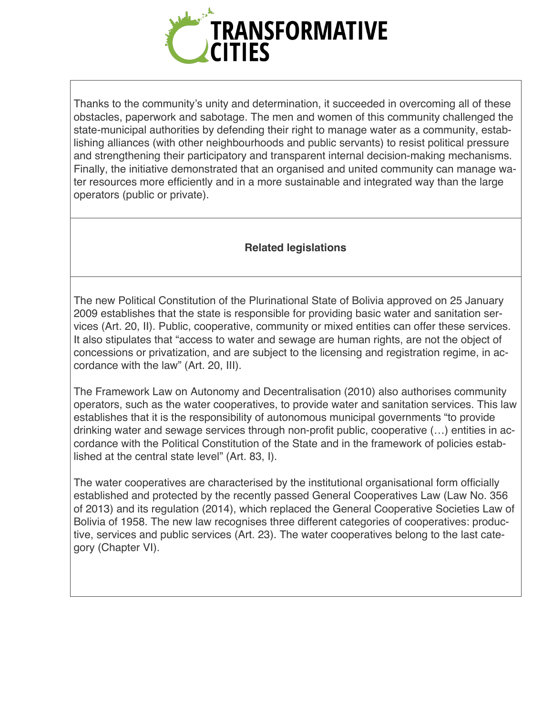

Thanks to the community's unity and determination, it succeeded in overcoming all of these obstacles, paperwork and sabotage. The men and women of this community challenged the state-municipal authorities by defending their right to manage water as a community, establishing alliances (with other neighbourhoods and public servants) to resist political pressure and strengthening their participatory and transparent internal decision-making mechanisms. Finally, the initiative demonstrated that an organised and united community can manage water resources more efficiently and in a more sustainable and integrated way than the large operators (public or private).

## **Related legislations**

The new Political Constitution of the Plurinational State of Bolivia approved on 25 January 2009 establishes that the state is responsible for providing basic water and sanitation services (Art. 20, II). Public, cooperative, community or mixed entities can offer these services. It also stipulates that "access to water and sewage are human rights, are not the object of concessions or privatization, and are subject to the licensing and registration regime, in accordance with the law" (Art. 20, III).

The Framework Law on Autonomy and Decentralisation (2010) also authorises community operators, such as the water cooperatives, to provide water and sanitation services. This law establishes that it is the responsibility of autonomous municipal governments "to provide drinking water and sewage services through non-profit public, cooperative (…) entities in accordance with the Political Constitution of the State and in the framework of policies established at the central state level" (Art. 83, I).

The water cooperatives are characterised by the institutional organisational form officially established and protected by the recently passed General Cooperatives Law (Law No. 356 of 2013) and its regulation (2014), which replaced the General Cooperative Societies Law of Bolivia of 1958. The new law recognises three different categories of cooperatives: productive, services and public services (Art. 23). The water cooperatives belong to the last category (Chapter VI).